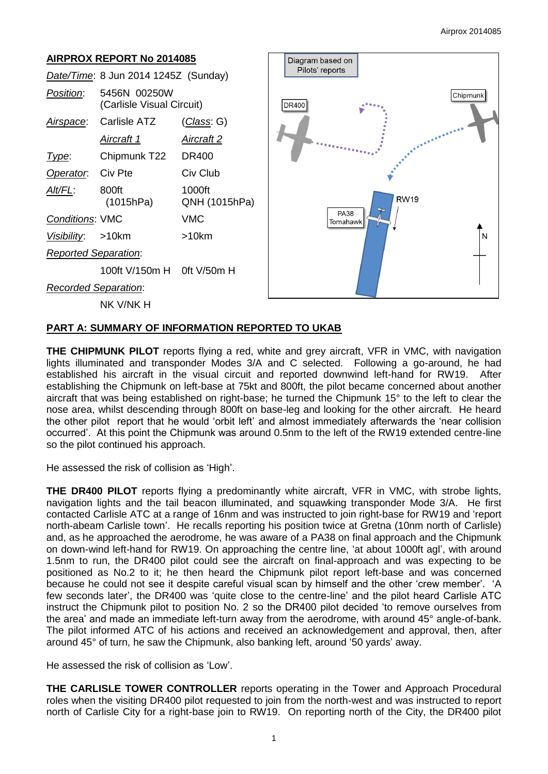# **AIRPROX REPORT No 2014085** *Date/Time*: 8 Jun 2014 1245Z (Sunday) *Position*: 5456N 00250W (Carlisle Visual Circuit) *Airspace*: Carlisle ATZ (*Class*: G) *Aircraft 1 Aircraft 2 Type*: Chipmunk T22 DR400 **Operator:** Civ Pte Civ Club *Alt/FL*: 800ft 1000ft (1015hPa) QNH (1015hPa) *Conditions*: VMC VMC *Visibility*: >10km >10km *Reported Separation*: 100ft V/150m H 0ft V/50m H *Recorded Separation*: NK V/NK H



## **PART A: SUMMARY OF INFORMATION REPORTED TO UKAB**

**THE CHIPMUNK PILOT** reports flying a red, white and grey aircraft, VFR in VMC, with navigation lights illuminated and transponder Modes 3/A and C selected. Following a go-around, he had established his aircraft in the visual circuit and reported downwind left-hand for RW19. After establishing the Chipmunk on left-base at 75kt and 800ft, the pilot became concerned about another aircraft that was being established on right-base; he turned the Chipmunk 15° to the left to clear the nose area, whilst descending through 800ft on base-leg and looking for the other aircraft. He heard the other pilot report that he would 'orbit left' and almost immediately afterwards the 'near collision occurred'. At this point the Chipmunk was around 0.5nm to the left of the RW19 extended centre-line so the pilot continued his approach.

He assessed the risk of collision as 'High'.

**THE DR400 PILOT** reports flying a predominantly white aircraft, VFR in VMC, with strobe lights, navigation lights and the tail beacon illuminated, and squawking transponder Mode 3/A. He first contacted Carlisle ATC at a range of 16nm and was instructed to join right-base for RW19 and 'report north-abeam Carlisle town'. He recalls reporting his position twice at Gretna (10nm north of Carlisle) and, as he approached the aerodrome, he was aware of a PA38 on final approach and the Chipmunk on down-wind left-hand for RW19. On approaching the centre line, 'at about 1000ft agl', with around 1.5nm to run, the DR400 pilot could see the aircraft on final-approach and was expecting to be positioned as No.2 to it; he then heard the Chipmunk pilot report left-base and was concerned because he could not see it despite careful visual scan by himself and the other 'crew member'. 'A few seconds later', the DR400 was 'quite close to the centre-line' and the pilot heard Carlisle ATC instruct the Chipmunk pilot to position No. 2 so the DR400 pilot decided 'to remove ourselves from the area' and made an immediate left-turn away from the aerodrome, with around 45° angle-of-bank. The pilot informed ATC of his actions and received an acknowledgement and approval, then, after around 45° of turn, he saw the Chipmunk, also banking left, around '50 yards' away.

He assessed the risk of collision as 'Low'.

**THE CARLISLE TOWER CONTROLLER** reports operating in the Tower and Approach Procedural roles when the visiting DR400 pilot requested to join from the north-west and was instructed to report north of Carlisle City for a right-base join to RW19. On reporting north of the City, the DR400 pilot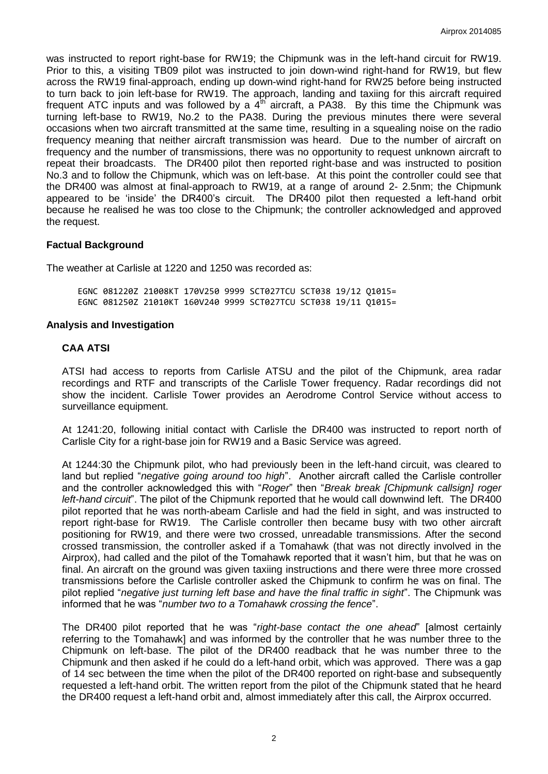was instructed to report right-base for RW19; the Chipmunk was in the left-hand circuit for RW19. Prior to this, a visiting TB09 pilot was instructed to join down-wind right-hand for RW19, but flew across the RW19 final-approach, ending up down-wind right-hand for RW25 before being instructed to turn back to join left-base for RW19. The approach, landing and taxiing for this aircraft required frequent ATC inputs and was followed by a  $4<sup>th</sup>$  aircraft, a PA38. By this time the Chipmunk was turning left-base to RW19, No.2 to the PA38. During the previous minutes there were several occasions when two aircraft transmitted at the same time, resulting in a squealing noise on the radio frequency meaning that neither aircraft transmission was heard. Due to the number of aircraft on frequency and the number of transmissions, there was no opportunity to request unknown aircraft to repeat their broadcasts. The DR400 pilot then reported right-base and was instructed to position No.3 and to follow the Chipmunk, which was on left-base. At this point the controller could see that the DR400 was almost at final-approach to RW19, at a range of around 2- 2.5nm; the Chipmunk appeared to be 'inside' the DR400's circuit. The DR400 pilot then requested a left-hand orbit because he realised he was too close to the Chipmunk; the controller acknowledged and approved the request.

### **Factual Background**

The weather at Carlisle at 1220 and 1250 was recorded as:

EGNC 081220Z 21008KT 170V250 9999 SCT027TCU SCT038 19/12 Q1015= EGNC 081250Z 21010KT 160V240 9999 SCT027TCU SCT038 19/11 Q1015=

#### **Analysis and Investigation**

#### **CAA ATSI**

ATSI had access to reports from Carlisle ATSU and the pilot of the Chipmunk, area radar recordings and RTF and transcripts of the Carlisle Tower frequency. Radar recordings did not show the incident. Carlisle Tower provides an Aerodrome Control Service without access to surveillance equipment.

At 1241:20, following initial contact with Carlisle the DR400 was instructed to report north of Carlisle City for a right-base join for RW19 and a Basic Service was agreed.

At 1244:30 the Chipmunk pilot, who had previously been in the left-hand circuit, was cleared to land but replied "*negative going around too high*". Another aircraft called the Carlisle controller and the controller acknowledged this with "*Roger*" then "*Break break [Chipmunk callsign] roger left-hand circuit*". The pilot of the Chipmunk reported that he would call downwind left. The DR400 pilot reported that he was north-abeam Carlisle and had the field in sight, and was instructed to report right-base for RW19. The Carlisle controller then became busy with two other aircraft positioning for RW19, and there were two crossed, unreadable transmissions. After the second crossed transmission, the controller asked if a Tomahawk (that was not directly involved in the Airprox), had called and the pilot of the Tomahawk reported that it wasn't him, but that he was on final. An aircraft on the ground was given taxiing instructions and there were three more crossed transmissions before the Carlisle controller asked the Chipmunk to confirm he was on final. The pilot replied "*negative just turning left base and have the final traffic in sight*". The Chipmunk was informed that he was "*number two to a Tomahawk crossing the fence*".

The DR400 pilot reported that he was "*right-base contact the one ahead*" [almost certainly referring to the Tomahawk] and was informed by the controller that he was number three to the Chipmunk on left-base. The pilot of the DR400 readback that he was number three to the Chipmunk and then asked if he could do a left-hand orbit, which was approved. There was a gap of 14 sec between the time when the pilot of the DR400 reported on right-base and subsequently requested a left-hand orbit. The written report from the pilot of the Chipmunk stated that he heard the DR400 request a left-hand orbit and, almost immediately after this call, the Airprox occurred.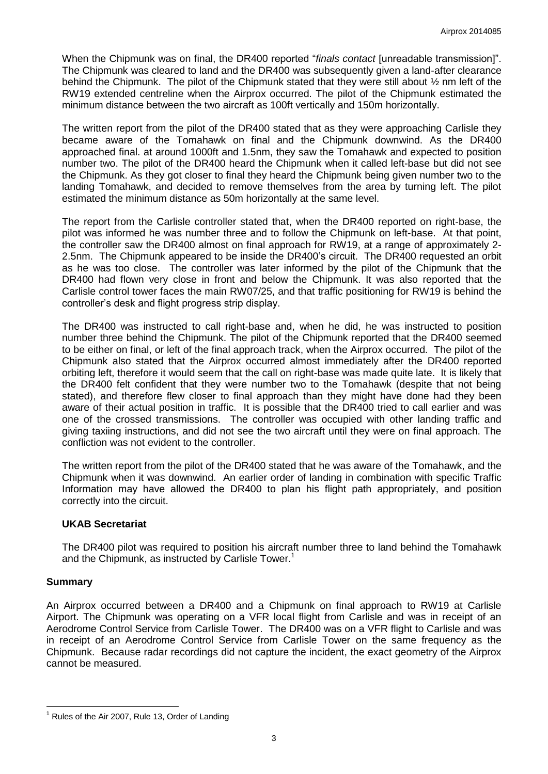When the Chipmunk was on final, the DR400 reported "*finals contact* [unreadable transmission]". The Chipmunk was cleared to land and the DR400 was subsequently given a land-after clearance behind the Chipmunk. The pilot of the Chipmunk stated that they were still about  $\frac{1}{2}$  nm left of the RW19 extended centreline when the Airprox occurred. The pilot of the Chipmunk estimated the minimum distance between the two aircraft as 100ft vertically and 150m horizontally.

The written report from the pilot of the DR400 stated that as they were approaching Carlisle they became aware of the Tomahawk on final and the Chipmunk downwind. As the DR400 approached final. at around 1000ft and 1.5nm, they saw the Tomahawk and expected to position number two. The pilot of the DR400 heard the Chipmunk when it called left-base but did not see the Chipmunk. As they got closer to final they heard the Chipmunk being given number two to the landing Tomahawk, and decided to remove themselves from the area by turning left. The pilot estimated the minimum distance as 50m horizontally at the same level.

The report from the Carlisle controller stated that, when the DR400 reported on right-base, the pilot was informed he was number three and to follow the Chipmunk on left-base. At that point, the controller saw the DR400 almost on final approach for RW19, at a range of approximately 2- 2.5nm. The Chipmunk appeared to be inside the DR400's circuit. The DR400 requested an orbit as he was too close. The controller was later informed by the pilot of the Chipmunk that the DR400 had flown very close in front and below the Chipmunk. It was also reported that the Carlisle control tower faces the main RW07/25, and that traffic positioning for RW19 is behind the controller's desk and flight progress strip display.

The DR400 was instructed to call right-base and, when he did, he was instructed to position number three behind the Chipmunk. The pilot of the Chipmunk reported that the DR400 seemed to be either on final, or left of the final approach track, when the Airprox occurred. The pilot of the Chipmunk also stated that the Airprox occurred almost immediately after the DR400 reported orbiting left, therefore it would seem that the call on right-base was made quite late. It is likely that the DR400 felt confident that they were number two to the Tomahawk (despite that not being stated), and therefore flew closer to final approach than they might have done had they been aware of their actual position in traffic. It is possible that the DR400 tried to call earlier and was one of the crossed transmissions. The controller was occupied with other landing traffic and giving taxiing instructions, and did not see the two aircraft until they were on final approach. The confliction was not evident to the controller.

The written report from the pilot of the DR400 stated that he was aware of the Tomahawk, and the Chipmunk when it was downwind. An earlier order of landing in combination with specific Traffic Information may have allowed the DR400 to plan his flight path appropriately, and position correctly into the circuit.

#### **UKAB Secretariat**

The DR400 pilot was required to position his aircraft number three to land behind the Tomahawk and the Chipmunk, as instructed by Carlisle Tower.<sup>1</sup>

## **Summary**

 $\overline{a}$ 

An Airprox occurred between a DR400 and a Chipmunk on final approach to RW19 at Carlisle Airport. The Chipmunk was operating on a VFR local flight from Carlisle and was in receipt of an Aerodrome Control Service from Carlisle Tower. The DR400 was on a VFR flight to Carlisle and was in receipt of an Aerodrome Control Service from Carlisle Tower on the same frequency as the Chipmunk. Because radar recordings did not capture the incident, the exact geometry of the Airprox cannot be measured.

 $<sup>1</sup>$  Rules of the Air 2007, Rule 13, Order of Landing</sup>